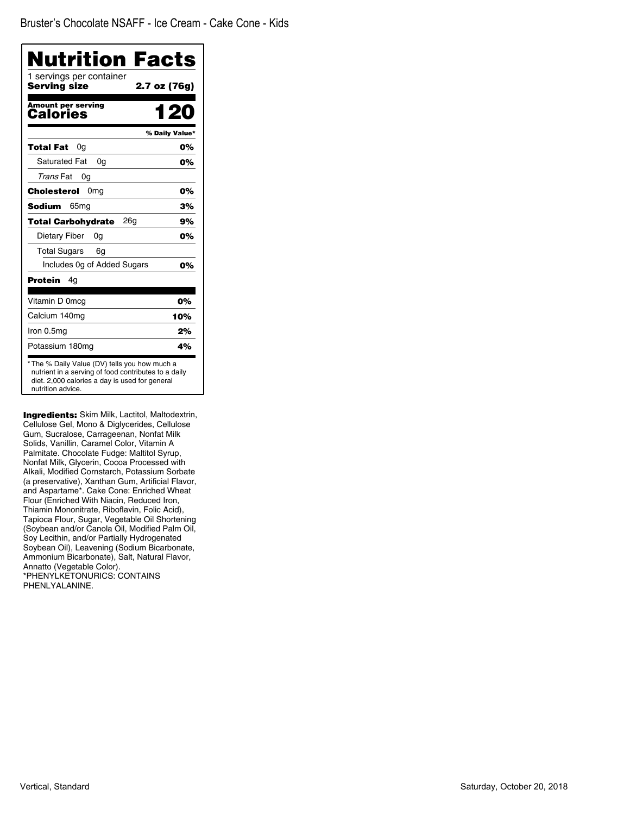| <b>Nutrition Facts</b>                       |                |
|----------------------------------------------|----------------|
| 1 servings per container<br>Serving size     | 2.7 oz (76g)   |
| <b>Amount per serving</b><br><b>Calories</b> | 1 20           |
|                                              | % Daily Value* |
| Total Fat<br>0a                              | 0%             |
| <b>Saturated Fat</b><br>0a                   | 0%             |
| Trans Fat<br>0g                              |                |
| Cholesterol<br>0 <sub>mg</sub>               | 0%             |
| Sodium<br>65 <sub>mq</sub>                   | 3%             |
| 26 <sub>q</sub><br><b>Total Carbohydrate</b> | 9%             |
| Dietary Fiber<br>0g                          | 0%             |
| <b>Total Sugars</b><br>6g                    |                |
| Includes Og of Added Sugars                  | 0%             |
| Protein<br>4g                                |                |
| Vitamin D 0mcg                               | 0%             |
| Calcium 140mg                                | 10%            |
| Iron 0.5mg                                   | 2%             |
| Potassium 180mg                              | 4%             |

**Ingredients:** Skim Milk, Lactitol, Maltodextrin, Cellulose Gel, Mono & Diglycerides, Cellulose Gum, Sucralose, Carrageenan, Nonfat Milk Solids, Vanillin, Caramel Color, Vitamin A Palmitate. Chocolate Fudge: Maltitol Syrup, Nonfat Milk, Glycerin, Cocoa Processed with Alkali, Modified Cornstarch, Potassium Sorbate (a preservative), Xanthan Gum, Artificial Flavor, and Aspartame\*. Cake Cone: Enriched Wheat Flour (Enriched With Niacin, Reduced Iron, Thiamin Mononitrate, Riboflavin, Folic Acid), Tapioca Flour, Sugar, Vegetable Oil Shortening (Soybean and/or Canola Oil, Modified Palm Oil, Soy Lecithin, and/or Partially Hydrogenated Soybean Oil), Leavening (Sodium Bicarbonate, Ammonium Bicarbonate), Salt, Natural Flavor, Annatto (Vegetable Color). \*PHENYLKETONURICS: CONTAINS PHENLYALANINE.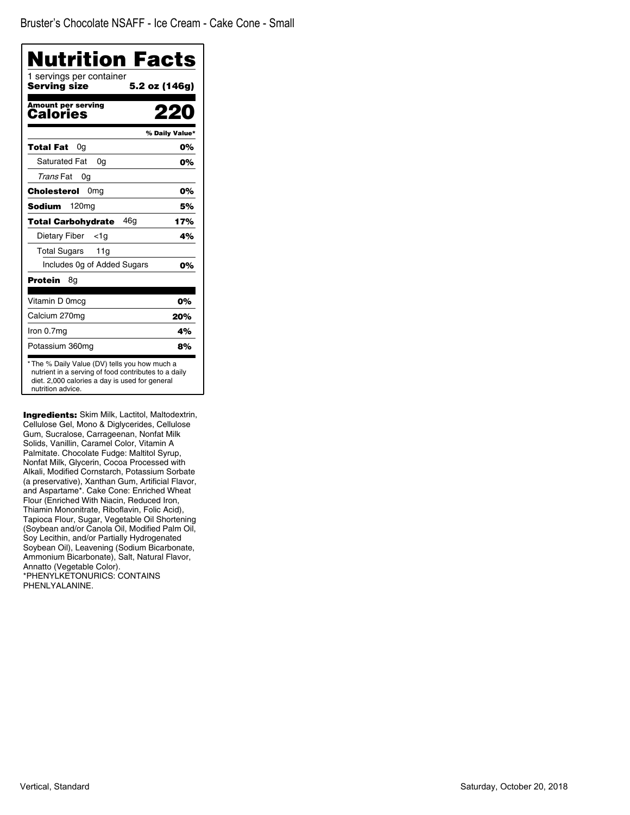| <b>Nutrition Facts</b><br>1 servings per container |                |
|----------------------------------------------------|----------------|
| Serving size                                       | 5.2 oz (146g)  |
| <b>Amount per serving</b><br>Calories              |                |
|                                                    | % Daily Value* |
| Total Fat<br>0g                                    | 0%             |
| Saturated Fat<br>0a                                | 0%             |
| Trans Fat<br>0g                                    |                |
| 0 <sub>mq</sub><br>Cholesterol                     | 0%             |
| <b>Sodium</b><br>120 <sub>mg</sub>                 | 5%             |
| 46g<br><b>Total Carbohydrate</b>                   | 17%            |
| Dietary Fiber<br>$<$ 1g                            | 4%             |
| <b>Total Sugars</b><br>11g                         |                |
| Includes Og of Added Sugars                        | 0%             |
| Protein<br>8g                                      |                |
| Vitamin D 0mcg                                     | 0%             |
| Calcium 270mg                                      | 20%            |
| Iron 0.7mg                                         | 4%             |
| Potassium 360mg                                    | 8%             |

**Ingredients:** Skim Milk, Lactitol, Maltodextrin, Cellulose Gel, Mono & Diglycerides, Cellulose Gum, Sucralose, Carrageenan, Nonfat Milk Solids, Vanillin, Caramel Color, Vitamin A Palmitate. Chocolate Fudge: Maltitol Syrup, Nonfat Milk, Glycerin, Cocoa Processed with Alkali, Modified Cornstarch, Potassium Sorbate (a preservative), Xanthan Gum, Artificial Flavor, and Aspartame\*. Cake Cone: Enriched Wheat Flour (Enriched With Niacin, Reduced Iron, Thiamin Mononitrate, Riboflavin, Folic Acid), Tapioca Flour, Sugar, Vegetable Oil Shortening (Soybean and/or Canola Oil, Modified Palm Oil, Soy Lecithin, and/or Partially Hydrogenated Soybean Oil), Leavening (Sodium Bicarbonate, Ammonium Bicarbonate), Salt, Natural Flavor, Annatto (Vegetable Color). \*PHENYLKETONURICS: CONTAINS PHENLYALANINE.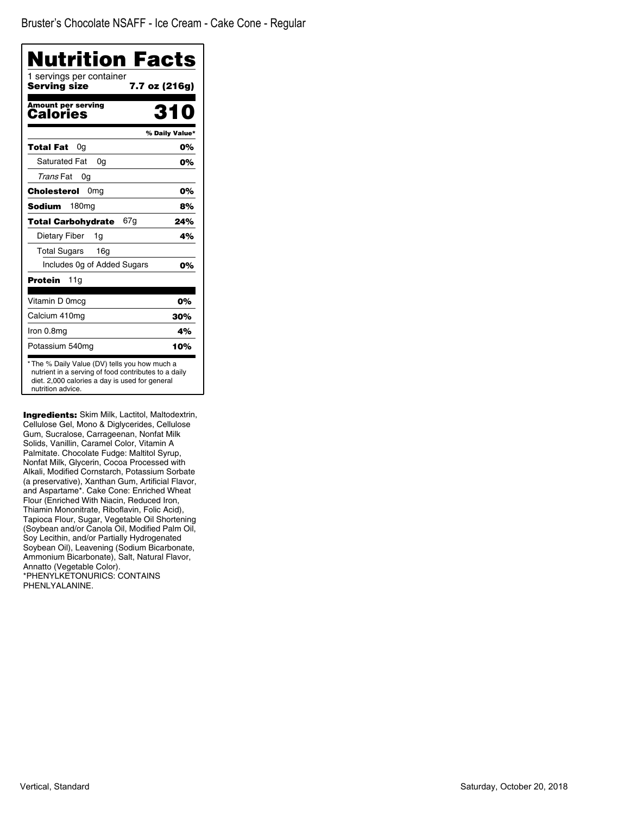| Nutrition Facts                          |                |
|------------------------------------------|----------------|
| 1 servings per container<br>Serving size | 7.7 oz (216g)  |
| Amount per serving<br>Calories           | 34             |
|                                          | % Daily Value* |
| Total Fat<br>0g                          | 0%             |
| <b>Saturated Fat</b><br>0a               | 0%             |
| Trans Fat<br>0g                          |                |
| 0 <sub>mg</sub><br>Cholesterol           | 0%             |
| <b>Sodium</b><br>180 <sub>mg</sub>       | 8%             |
| 67g<br><b>Total Carbohydrate</b>         | 24%            |
| Dietary Fiber<br>1g                      | 4%             |
| <b>Total Sugars</b><br>16g               |                |
| Includes Og of Added Sugars              | 0%             |
| <b>Protein</b><br>11g                    |                |
| Vitamin D 0mcg                           | 0%             |
| Calcium 410mg                            | 30%            |
| Iron 0.8mg                               | 4%             |
| Potassium 540mg                          | 10%            |

Ingredients: Skim Milk, Lactitol, Maltodextrin, Cellulose Gel, Mono & Diglycerides, Cellulose Gum, Sucralose, Carrageenan, Nonfat Milk Solids, Vanillin, Caramel Color, Vitamin A Palmitate. Chocolate Fudge: Maltitol Syrup, Nonfat Milk, Glycerin, Cocoa Processed with Alkali, Modified Cornstarch, Potassium Sorbate (a preservative), Xanthan Gum, Artificial Flavor, and Aspartame\*. Cake Cone: Enriched Wheat Flour (Enriched With Niacin, Reduced Iron, Thiamin Mononitrate, Riboflavin, Folic Acid), Tapioca Flour, Sugar, Vegetable Oil Shortening (Soybean and/or Canola Oil, Modified Palm Oil, Soy Lecithin, and/or Partially Hydrogenated Soybean Oil), Leavening (Sodium Bicarbonate, Ammonium Bicarbonate), Salt, Natural Flavor, Annatto (Vegetable Color). \*PHENYLKETONURICS: CONTAINS PHENLYALANINE.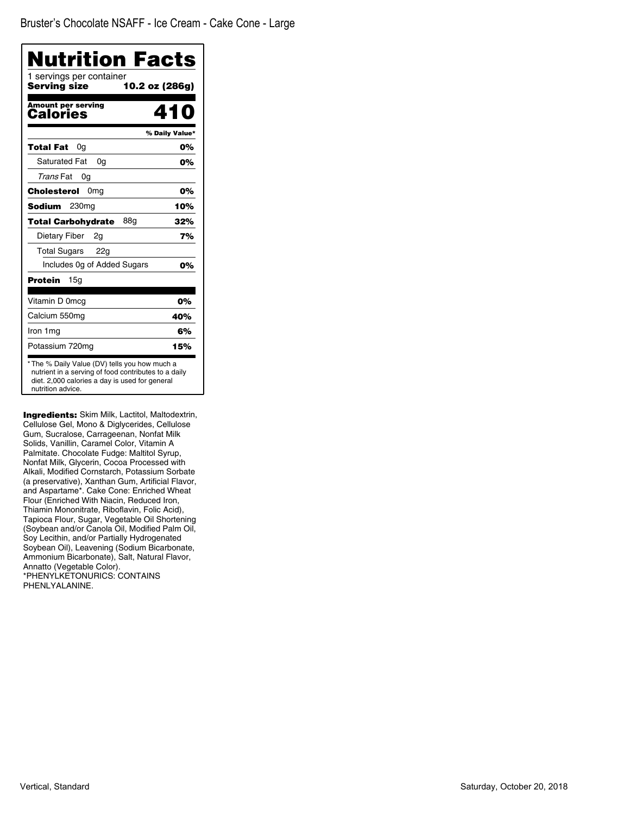| Nutrition Facts                                                                                                                                                              |                |
|------------------------------------------------------------------------------------------------------------------------------------------------------------------------------|----------------|
| 1 servings per container<br>Serving size<br>10.2 oz (286g)                                                                                                                   |                |
| Amount per serving<br>Calories                                                                                                                                               | 410            |
|                                                                                                                                                                              | % Daily Value* |
| Total Fat<br>0g                                                                                                                                                              | 0%             |
| <b>Saturated Fat</b><br>0q                                                                                                                                                   | 0%             |
| Trans Fat<br>0g                                                                                                                                                              |                |
| 0 <sub>mq</sub><br><b>Cholesterol</b>                                                                                                                                        | 0%             |
| <b>Sodium</b><br>230 <sub>mg</sub>                                                                                                                                           | 10%            |
| 88g<br>Total Carbohvdrate                                                                                                                                                    | 32%            |
| Dietary Fiber<br>2g                                                                                                                                                          | 7%             |
| Total Sugars 22g                                                                                                                                                             |                |
| Includes Og of Added Sugars                                                                                                                                                  | 0%             |
| <b>Protein</b><br>15g                                                                                                                                                        |                |
| Vitamin D 0mcg                                                                                                                                                               | 0%             |
| Calcium 550mg                                                                                                                                                                | 40%            |
| Iron 1 mg                                                                                                                                                                    | 6%             |
| Potassium 720mg                                                                                                                                                              | 15%            |
| * The % Daily Value (DV) tells you how much a<br>nutrient in a serving of food contributes to a daily<br>diet. 2,000 calories a day is used for general<br>nutrition advice. |                |

**Ingredients:** Skim Milk, Lactitol, Maltodextrin, Cellulose Gel, Mono & Diglycerides, Cellulose Gum, Sucralose, Carrageenan, Nonfat Milk Solids, Vanillin, Caramel Color, Vitamin A Palmitate. Chocolate Fudge: Maltitol Syrup, Nonfat Milk, Glycerin, Cocoa Processed with Alkali, Modified Cornstarch, Potassium Sorbate (a preservative), Xanthan Gum, Artificial Flavor, and Aspartame\*. Cake Cone: Enriched Wheat Flour (Enriched With Niacin, Reduced Iron, Thiamin Mononitrate, Riboflavin, Folic Acid), Tapioca Flour, Sugar, Vegetable Oil Shortening (Soybean and/or Canola Oil, Modified Palm Oil, Soy Lecithin, and/or Partially Hydrogenated Soybean Oil), Leavening (Sodium Bicarbonate, Ammonium Bicarbonate), Salt, Natural Flavor, Annatto (Vegetable Color). \*PHENYLKETONURICS: CONTAINS PHENLYALANINE.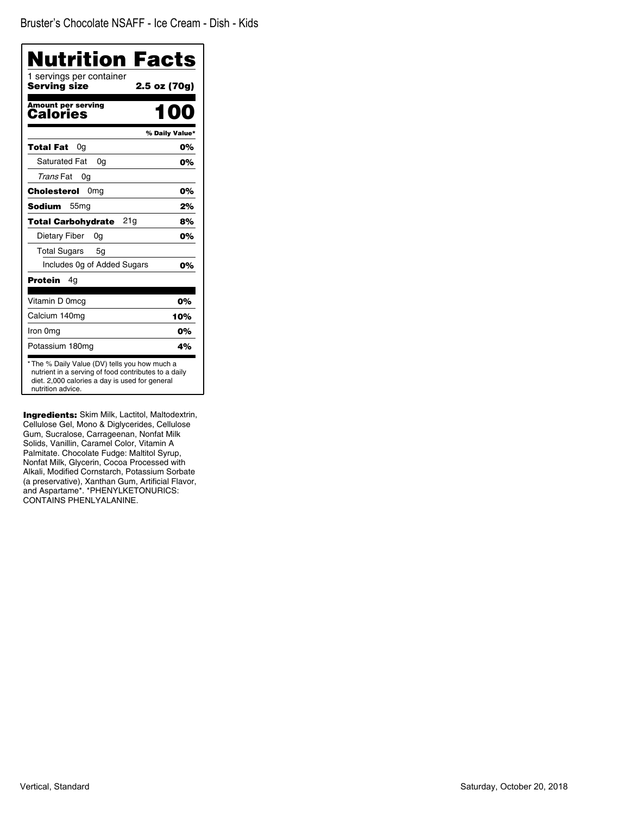| <b>Nutrition Facts</b>                                                                                                                                                       |                |
|------------------------------------------------------------------------------------------------------------------------------------------------------------------------------|----------------|
| 1 servings per container<br><b>Serving size</b>                                                                                                                              | 2.5 oz (70g)   |
| <b>Amount per serving</b><br>Calories                                                                                                                                        | nn             |
|                                                                                                                                                                              | % Daily Value* |
| 0a<br>Total Fat                                                                                                                                                              | 0%             |
| <b>Saturated Fat</b><br>0a                                                                                                                                                   | 0%             |
| Trans Fat<br>0g                                                                                                                                                              |                |
| Cholesterol<br>0 <sub>mg</sub>                                                                                                                                               | 0%             |
| <b>Sodium</b><br>55 <sub>mg</sub>                                                                                                                                            | 2%             |
| 21g<br><b>Total Carbohydrate</b>                                                                                                                                             | 8%             |
| Dietary Fiber<br>0g                                                                                                                                                          | 0%             |
| <b>Total Sugars</b><br>5g                                                                                                                                                    |                |
| Includes 0g of Added Sugars                                                                                                                                                  | 0%             |
| <b>Protein</b><br>4q                                                                                                                                                         |                |
| Vitamin D 0mcg                                                                                                                                                               | 0%             |
| Calcium 140mg                                                                                                                                                                | 10%            |
| Iron 0mg                                                                                                                                                                     | 0%             |
| Potassium 180mg                                                                                                                                                              | 4%             |
| * The % Daily Value (DV) tells you how much a<br>nutrient in a serving of food contributes to a daily<br>diet. 2,000 calories a day is used for general<br>nutrition advice. |                |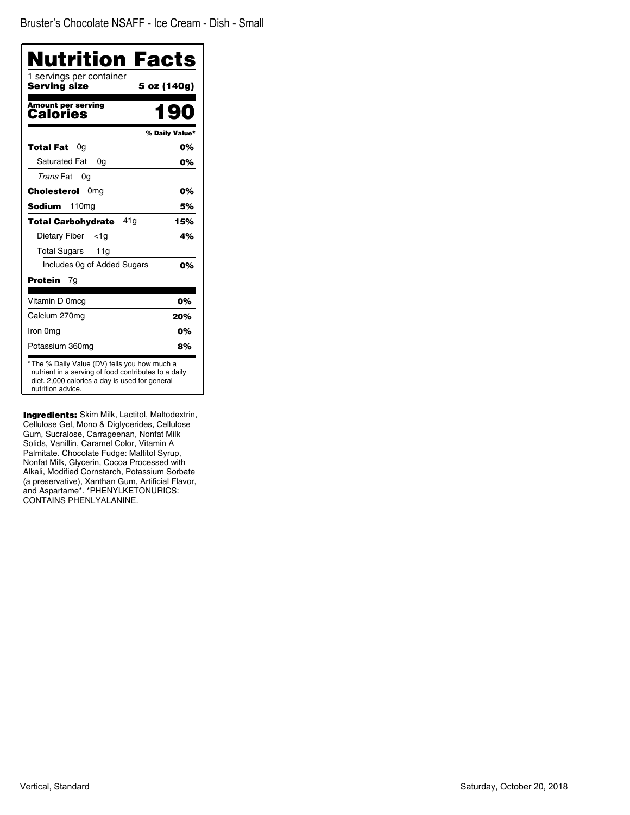| Nutrition Facts                                                                                                                                                              |                |
|------------------------------------------------------------------------------------------------------------------------------------------------------------------------------|----------------|
| 1 servings per container<br>Servina size                                                                                                                                     | 5 oz (140g)    |
| <b>Amount per serving</b><br>Calories                                                                                                                                        | 190            |
|                                                                                                                                                                              | % Daily Value* |
| Total Fat<br>0g                                                                                                                                                              | 0%             |
| <b>Saturated Fat</b><br>0a                                                                                                                                                   | 0%             |
| Trans Fat<br>0g                                                                                                                                                              |                |
| Cholesterol<br>0 <sub>mg</sub>                                                                                                                                               | 0%             |
| 110 <sub>mg</sub><br>Sodium                                                                                                                                                  | 5%             |
| 41 a<br><b>Total Carbohydrate</b>                                                                                                                                            | 15%            |
| Dietary Fiber<br><1a                                                                                                                                                         | 4%             |
| <b>Total Sugars</b><br>11g                                                                                                                                                   |                |
| Includes Og of Added Sugars                                                                                                                                                  | 0%             |
| Protein<br>7g                                                                                                                                                                |                |
| Vitamin D 0mcg                                                                                                                                                               | 0%             |
| Calcium 270mg                                                                                                                                                                | 20%            |
| Iron 0mg                                                                                                                                                                     | 0%             |
| Potassium 360mg                                                                                                                                                              | 8%             |
| * The % Daily Value (DV) tells you how much a<br>nutrient in a serving of food contributes to a daily<br>diet. 2,000 calories a day is used for general<br>nutrition advice. |                |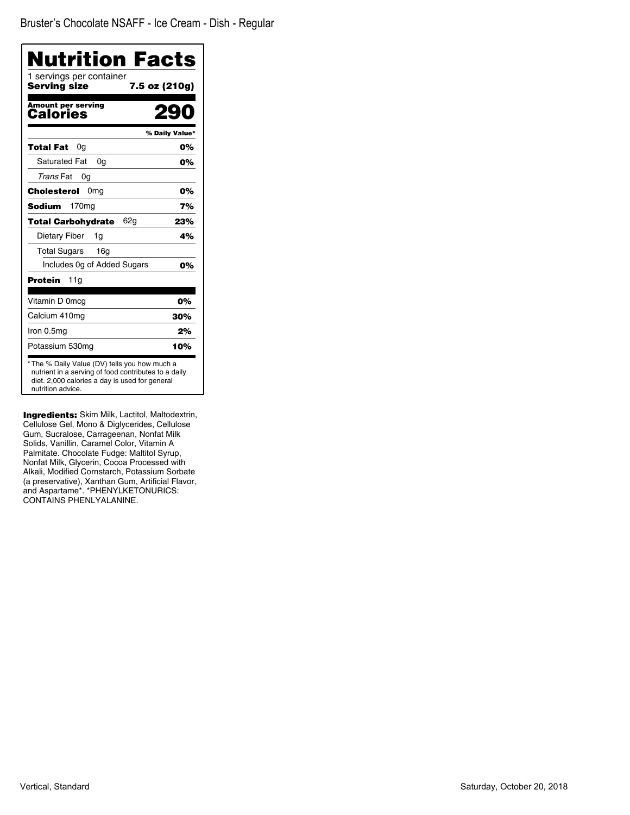| Nutrition Facts                                                                                                                                                              |                |
|------------------------------------------------------------------------------------------------------------------------------------------------------------------------------|----------------|
| 1 servings per container<br>Serving size<br>7.5 oz (210g)                                                                                                                    |                |
| Amount per serving<br>Calories                                                                                                                                               |                |
|                                                                                                                                                                              | % Daily Value* |
| Total Fat<br>0g                                                                                                                                                              | 0%             |
| <b>Saturated Fat</b><br>0g                                                                                                                                                   | 0%             |
| Trans Fat<br>0g                                                                                                                                                              |                |
| 0 <sub>mg</sub><br>Cholesterol                                                                                                                                               | 0%             |
| 170 <sub>mg</sub><br>Sodium                                                                                                                                                  | 7%             |
| <b>Total Carbohydrate</b><br>62g                                                                                                                                             | 23%            |
| Dietary Fiber<br>1g                                                                                                                                                          | 4%             |
| <b>Total Sugars</b><br>16 <sub>g</sub>                                                                                                                                       |                |
| Includes Og of Added Sugars                                                                                                                                                  | 0%             |
| <b>Protein</b><br>11g                                                                                                                                                        |                |
| Vitamin D 0mcg                                                                                                                                                               | 0%             |
| Calcium 410mg                                                                                                                                                                | 30%            |
| Iron 0.5mg                                                                                                                                                                   | 2%             |
| Potassium 530mg                                                                                                                                                              | 10%            |
| * The % Daily Value (DV) tells you how much a<br>nutrient in a serving of food contributes to a daily<br>diet. 2,000 calories a day is used for general<br>nutrition advice. |                |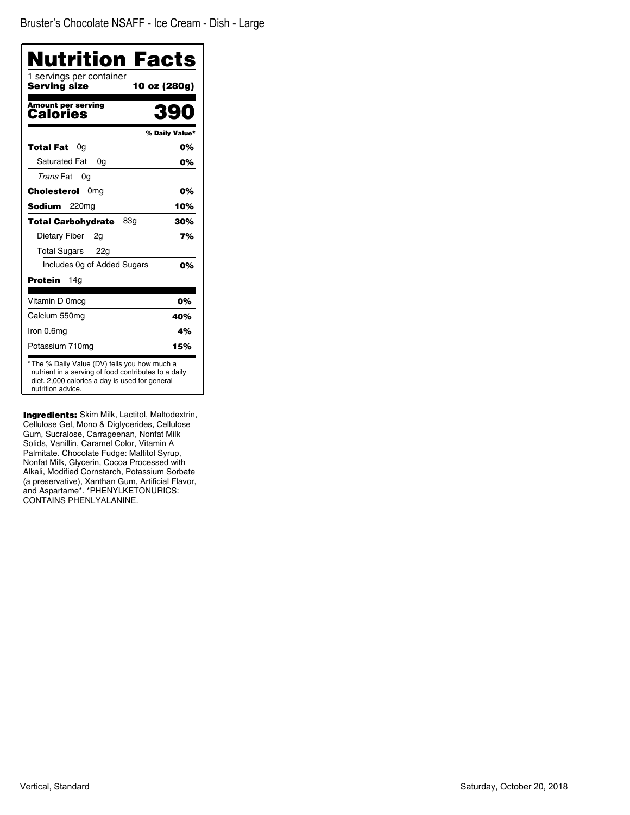| Nutrition Facts                                                                                                                                                              |                |
|------------------------------------------------------------------------------------------------------------------------------------------------------------------------------|----------------|
| 1 servings per container<br>Serving size<br>10 oz (280g)                                                                                                                     |                |
| <b>Amount per serving</b><br>Calories                                                                                                                                        | 390            |
|                                                                                                                                                                              | % Daily Value* |
| 0g<br>Total Fat                                                                                                                                                              | 0%             |
| <b>Saturated Fat</b><br>0a                                                                                                                                                   | 0%             |
| Trans Fat<br>0g                                                                                                                                                              |                |
| Cholesterol<br>0 <sub>mg</sub>                                                                                                                                               | 0%             |
| 220 <sub>mg</sub><br><b>Sodium</b>                                                                                                                                           | 10%            |
| 83g<br><b>Total Carbohydrate</b>                                                                                                                                             | 30%            |
| Dietary Fiber<br>2q                                                                                                                                                          | 7%             |
| <b>Total Sugars</b><br>22g                                                                                                                                                   |                |
| Includes Og of Added Sugars                                                                                                                                                  | 0%             |
| Protein<br>14a                                                                                                                                                               |                |
| Vitamin D 0mcg                                                                                                                                                               | 0%             |
| Calcium 550mg                                                                                                                                                                | 40%            |
| Iron 0.6mg                                                                                                                                                                   | 4%             |
| Potassium 710mg                                                                                                                                                              | 15%            |
| * The % Daily Value (DV) tells you how much a<br>nutrient in a serving of food contributes to a daily<br>diet. 2,000 calories a day is used for general<br>nutrition advice. |                |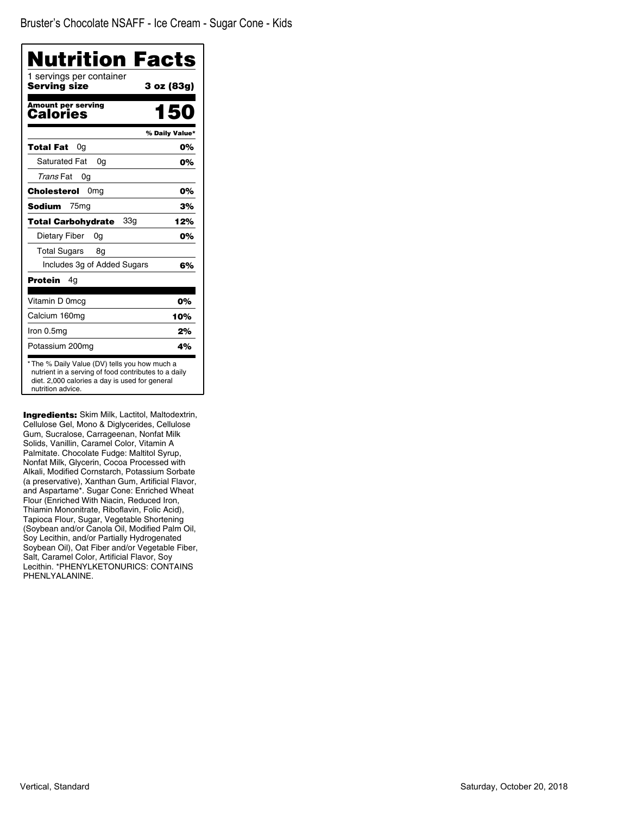| Nutrition Facts                                                                                                                                                              |                |
|------------------------------------------------------------------------------------------------------------------------------------------------------------------------------|----------------|
| 1 servings per container<br><b>Serving size</b>                                                                                                                              | 3 oz (83g)     |
| Amount per serving<br>Calories                                                                                                                                               | 150            |
|                                                                                                                                                                              | % Daily Value* |
| <b>Total Fat</b><br>0g                                                                                                                                                       | 0%             |
| <b>Saturated Fat</b><br>0a                                                                                                                                                   | 0%             |
| Trans Fat<br>0g                                                                                                                                                              |                |
| Cholesterol<br>0 <sub>mg</sub>                                                                                                                                               | 0%             |
| Sodium<br>75 <sub>mg</sub>                                                                                                                                                   | 3%             |
| 33a<br>Total Carbohydrate                                                                                                                                                    | 12%            |
| Dietary Fiber<br>0a                                                                                                                                                          | 0%             |
| <b>Total Sugars</b><br>8g                                                                                                                                                    |                |
| Includes 3g of Added Sugars                                                                                                                                                  | 6%             |
| Protein<br>4g                                                                                                                                                                |                |
| Vitamin D 0mcg                                                                                                                                                               | 0%             |
| Calcium 160mg                                                                                                                                                                | 10%            |
| Iron 0.5mg                                                                                                                                                                   | 2%             |
| Potassium 200mg                                                                                                                                                              | 4%             |
| * The % Daily Value (DV) tells you how much a<br>nutrient in a serving of food contributes to a daily<br>diet. 2,000 calories a day is used for general<br>nutrition advice. |                |

Ingredients: Skim Milk, Lactitol, Maltodextrin, Cellulose Gel, Mono & Diglycerides, Cellulose Gum, Sucralose, Carrageenan, Nonfat Milk Solids, Vanillin, Caramel Color, Vitamin A Palmitate. Chocolate Fudge: Maltitol Syrup, Nonfat Milk, Glycerin, Cocoa Processed with Alkali, Modified Cornstarch, Potassium Sorbate (a preservative), Xanthan Gum, Artificial Flavor, and Aspartame\*. Sugar Cone: Enriched Wheat Flour (Enriched With Niacin, Reduced Iron, Thiamin Mononitrate, Riboflavin, Folic Acid), Tapioca Flour, Sugar, Vegetable Shortening (Soybean and/or Canola Oil, Modified Palm Oil, Soy Lecithin, and/or Partially Hydrogenated Soybean Oil), Oat Fiber and/or Vegetable Fiber, Salt, Caramel Color, Artificial Flavor, Soy Lecithin. \*PHENYLKETONURICS: CONTAINS PHENLYALANINE.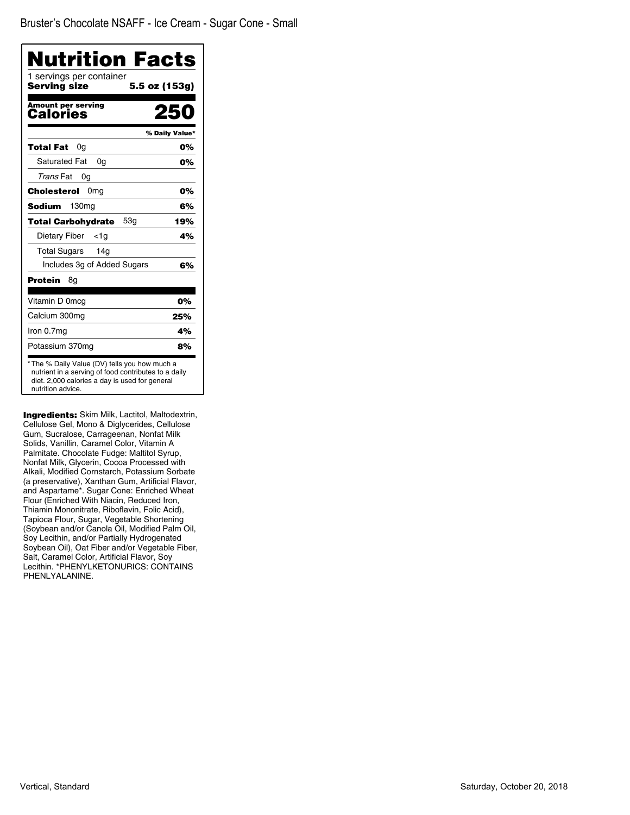| <b>Nutrition Facts</b>                   |                |
|------------------------------------------|----------------|
| 1 servings per container<br>Serving size | 5.5 oz (153g)  |
| <b>Amount per serving</b><br>Calories    |                |
|                                          | % Daily Value* |
| Total Fat<br>0g                          | 0%             |
| Saturated Fat<br>0a                      | 0%             |
| Trans Fat<br>0g                          |                |
| 0 <sub>mq</sub><br>Cholesterol           | 0%             |
| <b>Sodium</b><br>130 <sub>mg</sub>       | 6%             |
| 53g<br><b>Total Carbohydrate</b>         | 19%            |
| Dietary Fiber<br>$<$ 1g                  | 4%             |
| Total Sugars<br>14a                      |                |
| Includes 3g of Added Sugars              | 6%             |
| Protein<br>8g                            |                |
| Vitamin D 0mcg                           | 0%             |
| Calcium 300mg                            | 25%            |
| Iron 0.7mg                               | 4%             |
| Potassium 370mg                          | 8%             |

**Ingredients:** Skim Milk, Lactitol, Maltodextrin, Cellulose Gel, Mono & Diglycerides, Cellulose Gum, Sucralose, Carrageenan, Nonfat Milk Solids, Vanillin, Caramel Color, Vitamin A Palmitate. Chocolate Fudge: Maltitol Syrup, Nonfat Milk, Glycerin, Cocoa Processed with Alkali, Modified Cornstarch, Potassium Sorbate (a preservative), Xanthan Gum, Artificial Flavor, and Aspartame\*. Sugar Cone: Enriched Wheat Flour (Enriched With Niacin, Reduced Iron, Thiamin Mononitrate, Riboflavin, Folic Acid), Tapioca Flour, Sugar, Vegetable Shortening (Soybean and/or Canola Oil, Modified Palm Oil, Soy Lecithin, and/or Partially Hydrogenated Soybean Oil), Oat Fiber and/or Vegetable Fiber, Salt, Caramel Color, Artificial Flavor, Soy Lecithin. \*PHENYLKETONURICS: CONTAINS PHENLYALANINE.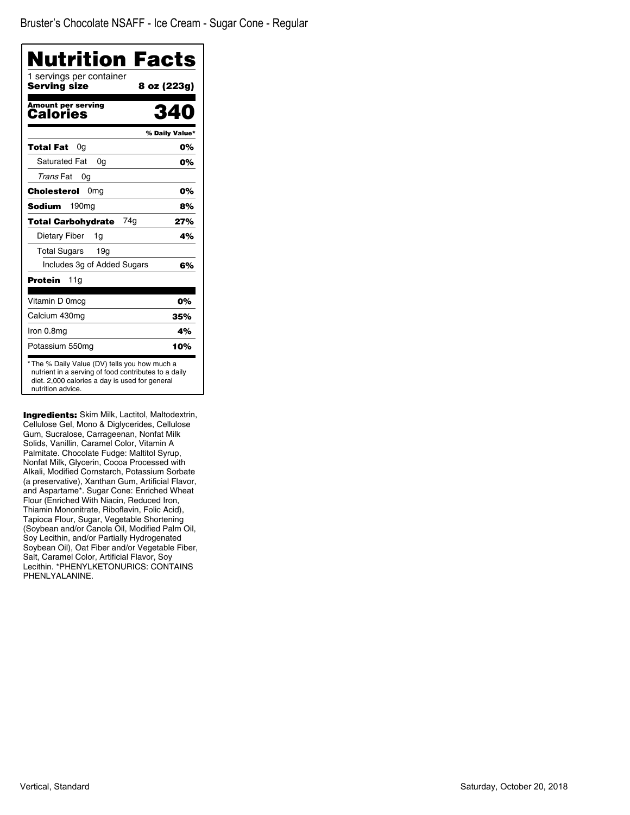| <b>Nutrition Facts</b>                                                                                                                                                       |                |
|------------------------------------------------------------------------------------------------------------------------------------------------------------------------------|----------------|
| 1 servings per container<br><b>Serving size</b>                                                                                                                              | 8 oz (223g)    |
| Amount per serving<br>Calories                                                                                                                                               | 34             |
|                                                                                                                                                                              | % Daily Value* |
| <b>Total Fat</b><br>0a                                                                                                                                                       | 0%             |
| Saturated Fat<br>0a                                                                                                                                                          | 0%             |
| Trans Fat<br>0g                                                                                                                                                              |                |
| Cholesterol<br>0 <sub>mg</sub>                                                                                                                                               | 0%             |
| <b>Sodium</b><br>190 <sub>mg</sub>                                                                                                                                           | 8%             |
| 74q<br><b>Total Carbohydrate</b>                                                                                                                                             | 27%            |
| Dietary Fiber<br>1q                                                                                                                                                          | 4%             |
| <b>Total Sugars</b><br>19q                                                                                                                                                   |                |
| Includes 3g of Added Sugars                                                                                                                                                  | 6%             |
| Protein<br>11g                                                                                                                                                               |                |
| Vitamin D 0mcg                                                                                                                                                               | 0%             |
| Calcium 430mg                                                                                                                                                                | 35%            |
| Iron 0.8mg                                                                                                                                                                   | 4%             |
| Potassium 550mg                                                                                                                                                              | 10%            |
| * The % Daily Value (DV) tells you how much a<br>nutrient in a serving of food contributes to a daily<br>diet. 2,000 calories a day is used for general<br>nutrition advice. |                |

Ingredients: Skim Milk, Lactitol, Maltodextrin, Cellulose Gel, Mono & Diglycerides, Cellulose Gum, Sucralose, Carrageenan, Nonfat Milk Solids, Vanillin, Caramel Color, Vitamin A Palmitate. Chocolate Fudge: Maltitol Syrup, Nonfat Milk, Glycerin, Cocoa Processed with Alkali, Modified Cornstarch, Potassium Sorbate (a preservative), Xanthan Gum, Artificial Flavor, and Aspartame\*. Sugar Cone: Enriched Wheat Flour (Enriched With Niacin, Reduced Iron, Thiamin Mononitrate, Riboflavin, Folic Acid), Tapioca Flour, Sugar, Vegetable Shortening (Soybean and/or Canola Oil, Modified Palm Oil, Soy Lecithin, and/or Partially Hydrogenated Soybean Oil), Oat Fiber and/or Vegetable Fiber, Salt, Caramel Color, Artificial Flavor, Soy Lecithin. \*PHENYLKETONURICS: CONTAINS PHENLYALANINE.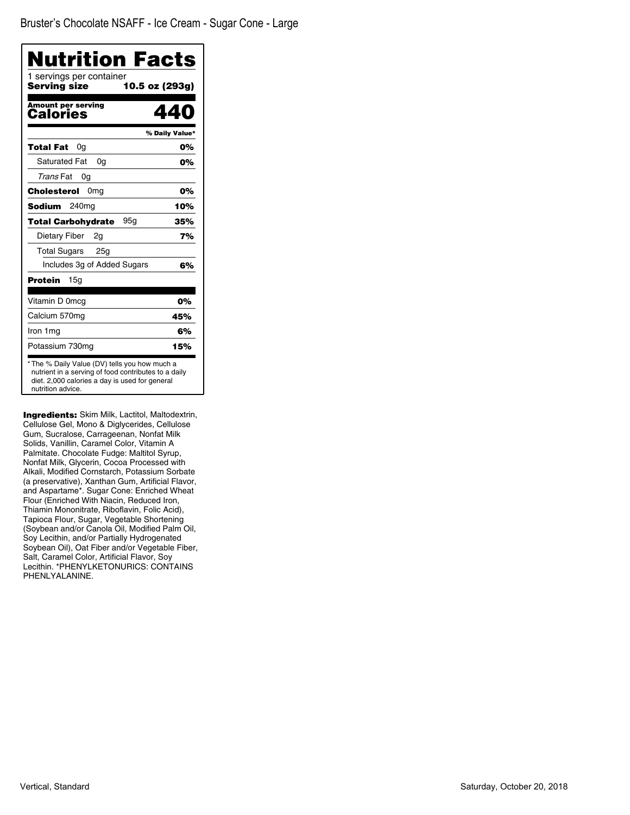| <b>Nutrition Facts</b>                                                                                                                                                       |                |
|------------------------------------------------------------------------------------------------------------------------------------------------------------------------------|----------------|
| 1 servings per container<br>Serving size<br>10.5 oz (293g)                                                                                                                   |                |
| Amount per serving<br>Calories                                                                                                                                               | 440            |
|                                                                                                                                                                              | % Daily Value* |
| Total Fat<br>0a                                                                                                                                                              | 0%             |
| <b>Saturated Fat</b><br>0a                                                                                                                                                   | 0%             |
| Trans Fat<br>0g                                                                                                                                                              |                |
| Cholesterol<br>0 <sub>mg</sub>                                                                                                                                               | 0%             |
| 240 <sub>mg</sub><br>Sodium                                                                                                                                                  | 10%            |
| 95a<br><b>Total Carbohydrate</b>                                                                                                                                             | 35%            |
| Dietary Fiber<br>2g                                                                                                                                                          | 7%             |
| <b>Total Sugars</b><br>25 <sub>g</sub>                                                                                                                                       |                |
| Includes 3g of Added Sugars                                                                                                                                                  | 6%             |
| <b>Protein</b><br>15a                                                                                                                                                        |                |
| Vitamin D 0mcg                                                                                                                                                               | 0%             |
| Calcium 570mg                                                                                                                                                                | 45%            |
| Iron 1 mg                                                                                                                                                                    | 6%             |
| Potassium 730mg                                                                                                                                                              | 15%            |
| * The % Daily Value (DV) tells you how much a<br>nutrient in a serving of food contributes to a daily<br>diet. 2,000 calories a day is used for general<br>nutrition advice. |                |

Ingredients: Skim Milk, Lactitol, Maltodextrin, Cellulose Gel, Mono & Diglycerides, Cellulose Gum, Sucralose, Carrageenan, Nonfat Milk Solids, Vanillin, Caramel Color, Vitamin A Palmitate. Chocolate Fudge: Maltitol Syrup, Nonfat Milk, Glycerin, Cocoa Processed with Alkali, Modified Cornstarch, Potassium Sorbate (a preservative), Xanthan Gum, Artificial Flavor, and Aspartame\*. Sugar Cone: Enriched Wheat Flour (Enriched With Niacin, Reduced Iron, Thiamin Mononitrate, Riboflavin, Folic Acid), Tapioca Flour, Sugar, Vegetable Shortening (Soybean and/or Canola Oil, Modified Palm Oil, Soy Lecithin, and/or Partially Hydrogenated Soybean Oil), Oat Fiber and/or Vegetable Fiber, Salt, Caramel Color, Artificial Flavor, Soy Lecithin. \*PHENYLKETONURICS: CONTAINS PHENLYALANINE.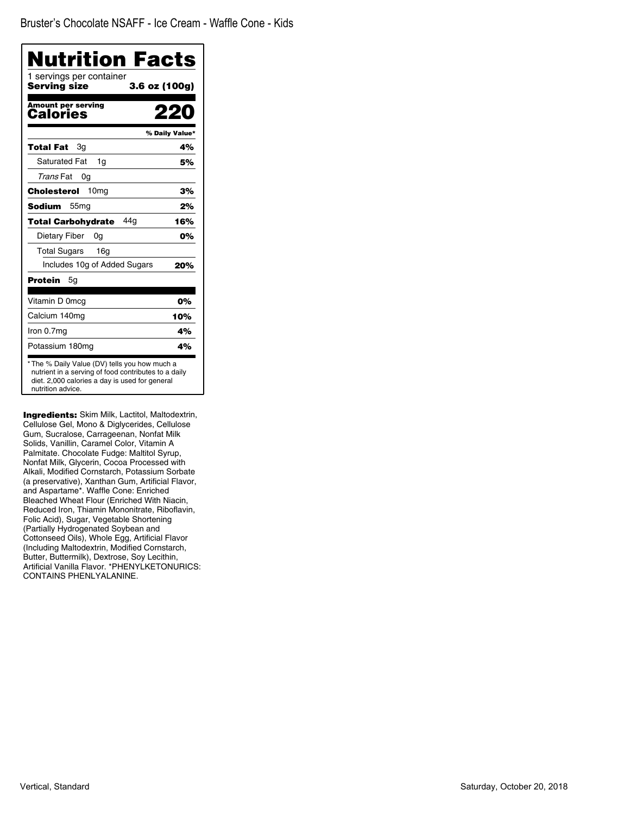| <b>Nutrition Facts</b>                   |                |
|------------------------------------------|----------------|
| 1 servings per container<br>Serving size | 3.6 oz (100g)  |
| Amount per serving<br>Calories           |                |
|                                          | % Daily Value* |
| <b>Total Fat</b><br>Зq                   | 4%             |
| Saturated Fat<br>1g                      | 5%             |
| Trans Fat<br>0g                          |                |
| 10 <sub>mg</sub><br>Cholesterol          | 3%             |
| <b>Sodium</b><br>55 <sub>mq</sub>        | 2%             |
| 44a<br><b>Total Carbohydrate</b>         | 16%            |
| Dietary Fiber<br>0a                      | 0%             |
| <b>Total Sugars</b><br>16a               |                |
| Includes 10g of Added Sugars             | 20%            |
| Protein<br>5g                            |                |
| Vitamin D 0mcg                           | 0%             |
| Calcium 140mq                            | 10%            |
| Iron 0.7mg                               | 4%             |
| Potassium 180mg                          | 4%             |

**Ingredients:** Skim Milk, Lactitol, Maltodextrin, Cellulose Gel, Mono & Diglycerides, Cellulose Gum, Sucralose, Carrageenan, Nonfat Milk Solids, Vanillin, Caramel Color, Vitamin A Palmitate. Chocolate Fudge: Maltitol Syrup, Nonfat Milk, Glycerin, Cocoa Processed with Alkali, Modified Cornstarch, Potassium Sorbate (a preservative), Xanthan Gum, Artificial Flavor, and Aspartame\*. Waffle Cone: Enriched Bleached Wheat Flour (Enriched With Niacin, Reduced Iron, Thiamin Mononitrate, Riboflavin, Folic Acid), Sugar, Vegetable Shortening (Partially Hydrogenated Soybean and Cottonseed Oils), Whole Egg, Artificial Flavor (Including Maltodextrin, Modified Cornstarch, Butter, Buttermilk), Dextrose, Soy Lecithin, Artificial Vanilla Flavor. \*PHENYLKETONURICS: CONTAINS PHENLYALANINE.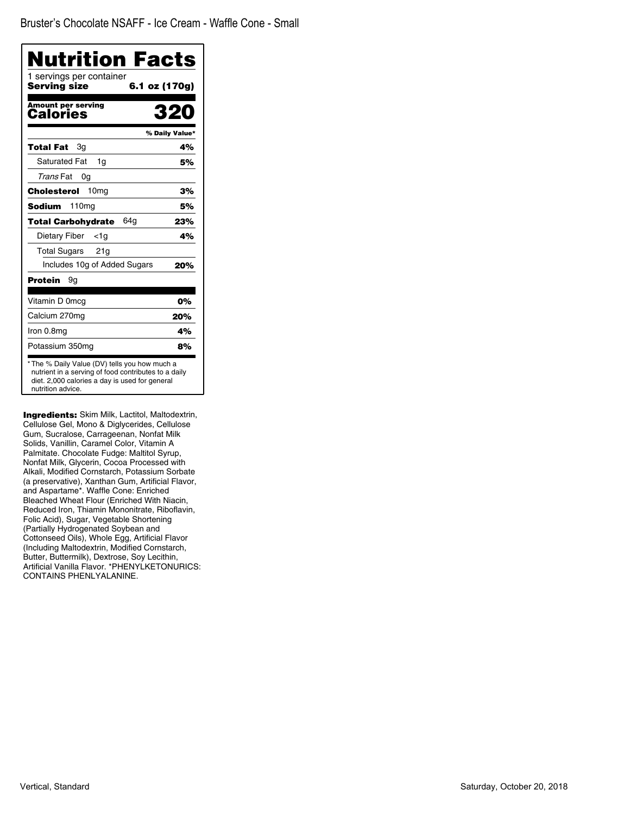| Nutrition Facts                          |                |
|------------------------------------------|----------------|
| 1 servings per container<br>Serving size | 6.1 oz (170g)  |
| <b>Amount per serving</b><br>Calories    | 320            |
|                                          | % Daily Value* |
| Total Fat<br>Зq                          | 4%             |
| <b>Saturated Fat</b><br>1g               | 5%             |
| Trans Fat<br>0g                          |                |
| 10 <sub>mg</sub><br>Cholesterol          | 3%             |
| 110 <sub>mg</sub><br>Sodium              | 5%             |
| 64a<br><b>Total Carbohydrate</b>         | 23%            |
| Dietary Fiber<br><1a                     | 4%             |
| <b>Total Sugars</b><br>21g               |                |
| Includes 10g of Added Sugars             | 20%            |
| <b>Protein</b><br>9g                     |                |
| Vitamin D 0mcg                           | 0%             |
| Calcium 270mg                            | 20%            |
| Iron 0.8mg                               | 4%             |
| Potassium 350mg                          | 8%             |

**Ingredients:** Skim Milk, Lactitol, Maltodextrin, Cellulose Gel, Mono & Diglycerides, Cellulose Gum, Sucralose, Carrageenan, Nonfat Milk Solids, Vanillin, Caramel Color, Vitamin A Palmitate. Chocolate Fudge: Maltitol Syrup, Nonfat Milk, Glycerin, Cocoa Processed with Alkali, Modified Cornstarch, Potassium Sorbate (a preservative), Xanthan Gum, Artificial Flavor, and Aspartame\*. Waffle Cone: Enriched Bleached Wheat Flour (Enriched With Niacin, Reduced Iron, Thiamin Mononitrate, Riboflavin, Folic Acid), Sugar, Vegetable Shortening (Partially Hydrogenated Soybean and Cottonseed Oils), Whole Egg, Artificial Flavor (Including Maltodextrin, Modified Cornstarch, Butter, Buttermilk), Dextrose, Soy Lecithin, Artificial Vanilla Flavor. \*PHENYLKETONURICS: CONTAINS PHENLYALANINE.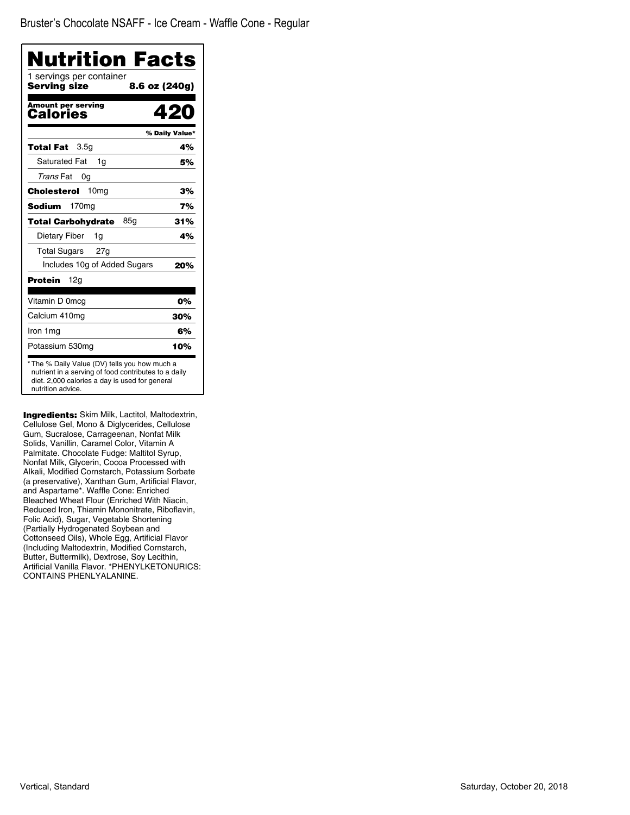| Nutrition Facts                          |                |
|------------------------------------------|----------------|
| 1 servings per container<br>Serving size | 8.6 oz (240g)  |
| <b>Amount per serving</b><br>Calories    | 420            |
|                                          | % Daily Value* |
| 3.5g<br><b>Total Fat</b>                 | 4%             |
| <b>Saturated Fat</b><br>1g               | 5%             |
| Trans Fat<br>0g                          |                |
| 10 <sub>mg</sub><br>Cholesterol          | 3%             |
| Sodium<br>170 <sub>mg</sub>              | 7%             |
| 85a<br><b>Total Carbohydrate</b>         | 31%            |
| Dietary Fiber<br>1g                      | 4%             |
| <b>Total Sugars</b><br>27q               |                |
| Includes 10g of Added Sugars             | 20%            |
| 12g<br>Protein                           |                |
| Vitamin D 0mcg                           | 0%             |
| Calcium 410mg                            | 30%            |
| Iron 1mg                                 | 6%             |
| Potassium 530mg                          | 10%            |

Ingredients: Skim Milk, Lactitol, Maltodextrin, Cellulose Gel, Mono & Diglycerides, Cellulose Gum, Sucralose, Carrageenan, Nonfat Milk Solids, Vanillin, Caramel Color, Vitamin A Palmitate. Chocolate Fudge: Maltitol Syrup, Nonfat Milk, Glycerin, Cocoa Processed with Alkali, Modified Cornstarch, Potassium Sorbate (a preservative), Xanthan Gum, Artificial Flavor, and Aspartame\*. Waffle Cone: Enriched Bleached Wheat Flour (Enriched With Niacin, Reduced Iron, Thiamin Mononitrate, Riboflavin, Folic Acid), Sugar, Vegetable Shortening (Partially Hydrogenated Soybean and Cottonseed Oils), Whole Egg, Artificial Flavor (Including Maltodextrin, Modified Cornstarch, Butter, Buttermilk), Dextrose, Soy Lecithin, Artificial Vanilla Flavor. \*PHENYLKETONURICS: CONTAINS PHENLYALANINE.